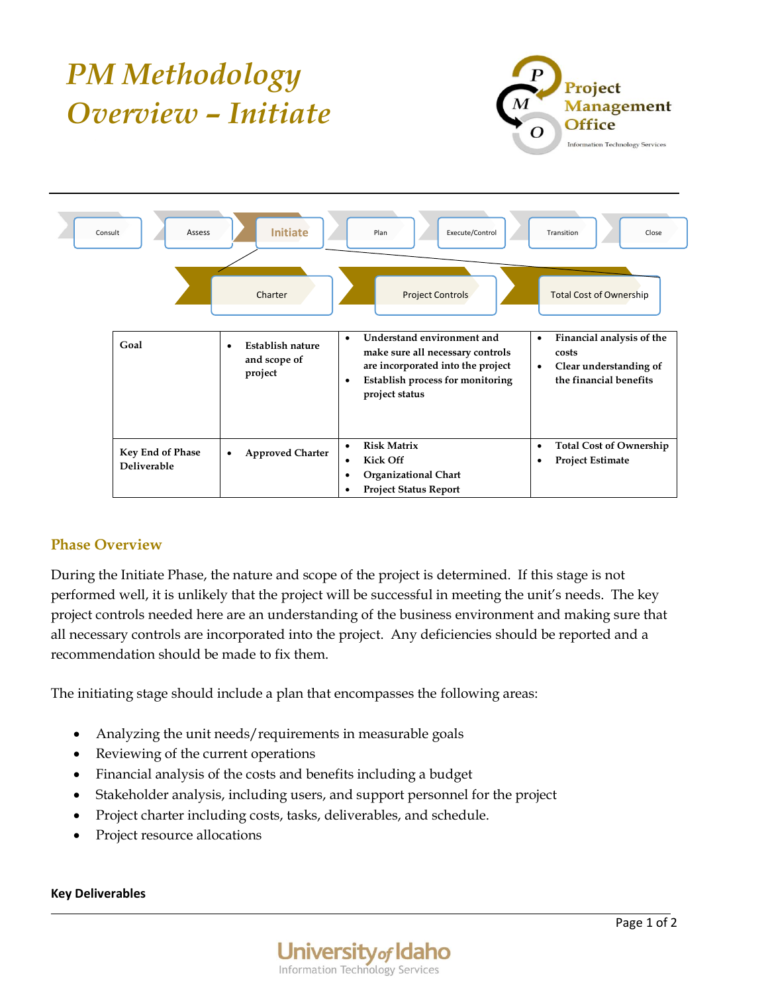

## **Phase Overview**

During the Initiate Phase, the nature and scope of the project is determined. If this stage is not performed well, it is unlikely that the project will be successful in meeting the unit's needs. The key project controls needed here are an understanding of the business environment and making sure that all necessary controls are incorporated into the project. Any deficiencies should be reported and a recommendation should be made to fix them.

The initiating stage should include a plan that encompasses the following areas:

- Analyzing the unit needs/requirements in measurable goals
- Reviewing of the current operations
- Financial analysis of the costs and benefits including a budget
- Stakeholder analysis, including users, and support personnel for the project
- Project charter including costs, tasks, deliverables, and schedule.
- Project resource allocations

## **Key Deliverables**